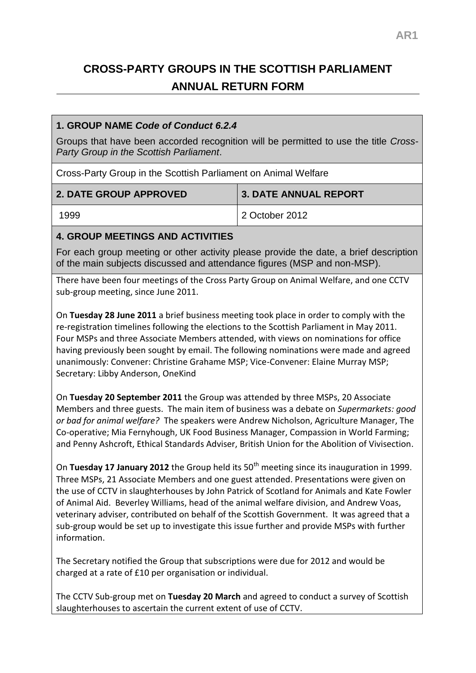# **CROSS-PARTY GROUPS IN THE SCOTTISH PARLIAMENT ANNUAL RETURN FORM**

## **1. GROUP NAME** *Code of Conduct 6.2.4*

Groups that have been accorded recognition will be permitted to use the title *Cross-Party Group in the Scottish Parliament*.

Cross-Party Group in the Scottish Parliament on Animal Welfare

| <b>2. DATE GROUP APPROVED</b> | <b>3. DATE ANNUAL REPORT</b> |
|-------------------------------|------------------------------|
| 1999                          | l 2 October 2012             |

# **4. GROUP MEETINGS AND ACTIVITIES**

For each group meeting or other activity please provide the date, a brief description of the main subjects discussed and attendance figures (MSP and non-MSP).

There have been four meetings of the Cross Party Group on Animal Welfare, and one CCTV sub-group meeting, since June 2011.

On **Tuesday 28 June 2011** a brief business meeting took place in order to comply with the re-registration timelines following the elections to the Scottish Parliament in May 2011. Four MSPs and three Associate Members attended, with views on nominations for office having previously been sought by email. The following nominations were made and agreed unanimously: Convener: Christine Grahame MSP; Vice-Convener: Elaine Murray MSP; Secretary: Libby Anderson, OneKind

On **Tuesday 20 September 2011** the Group was attended by three MSPs, 20 Associate Members and three guests. The main item of business was a debate on *Supermarkets: good or bad for animal welfare?* The speakers were Andrew Nicholson, Agriculture Manager, The Co-operative; Mia Fernyhough, UK Food Business Manager, Compassion in World Farming; and Penny Ashcroft, Ethical Standards Adviser, British Union for the Abolition of Vivisection.

On Tuesday 17 January 2012 the Group held its 50<sup>th</sup> meeting since its inauguration in 1999. Three MSPs, 21 Associate Members and one guest attended. Presentations were given on the use of CCTV in slaughterhouses by John Patrick of Scotland for Animals and Kate Fowler of Animal Aid. Beverley Williams, head of the animal welfare division, and Andrew Voas, veterinary adviser, contributed on behalf of the Scottish Government. It was agreed that a sub-group would be set up to investigate this issue further and provide MSPs with further information.

The Secretary notified the Group that subscriptions were due for 2012 and would be charged at a rate of £10 per organisation or individual.

The CCTV Sub-group met on **Tuesday 20 March** and agreed to conduct a survey of Scottish slaughterhouses to ascertain the current extent of use of CCTV.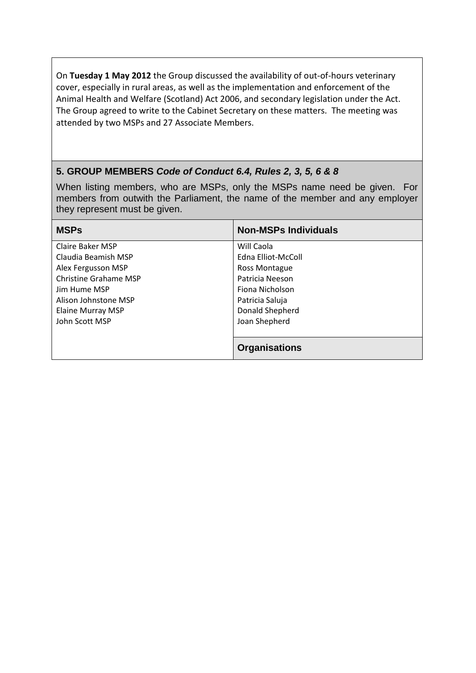On **Tuesday 1 May 2012** the Group discussed the availability of out-of-hours veterinary cover, especially in rural areas, as well as the implementation and enforcement of the Animal Health and Welfare (Scotland) Act 2006, and secondary legislation under the Act. The Group agreed to write to the Cabinet Secretary on these matters. The meeting was attended by two MSPs and 27 Associate Members.

# **5. GROUP MEMBERS** *Code of Conduct 6.4, Rules 2, 3, 5, 6 & 8*

When listing members, who are MSPs, only the MSPs name need be given. For members from outwith the Parliament, the name of the member and any employer they represent must be given.

| <b>MSPs</b>                  | <b>Non-MSPs Individuals</b> |
|------------------------------|-----------------------------|
| Claire Baker MSP             | Will Caola                  |
| Claudia Beamish MSP          | Edna Elliot-McColl          |
| Alex Fergusson MSP           | Ross Montague               |
| <b>Christine Grahame MSP</b> | Patricia Neeson             |
| Jim Hume MSP                 | Fiona Nicholson             |
| Alison Johnstone MSP         | Patricia Saluja             |
| Elaine Murray MSP            | Donald Shepherd             |
| John Scott MSP               | Joan Shepherd               |
|                              |                             |
|                              | <b>Organisations</b>        |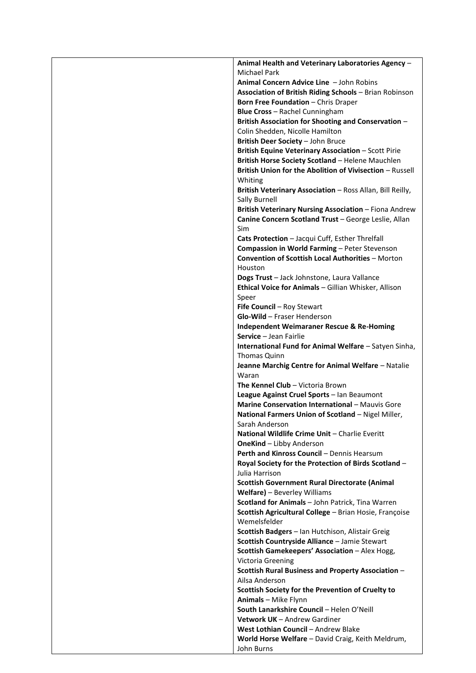| Animal Health and Veterinary Laboratories Agency -                                                         |
|------------------------------------------------------------------------------------------------------------|
| <b>Michael Park</b>                                                                                        |
| Animal Concern Advice Line - John Robins                                                                   |
| Association of British Riding Schools - Brian Robinson                                                     |
| <b>Born Free Foundation - Chris Draper</b><br>Blue Cross - Rachel Cunningham                               |
| British Association for Shooting and Conservation -                                                        |
| Colin Shedden, Nicolle Hamilton                                                                            |
| British Deer Society - John Bruce                                                                          |
| British Equine Veterinary Association - Scott Pirie                                                        |
| British Horse Society Scotland - Helene Mauchlen                                                           |
| British Union for the Abolition of Vivisection - Russell<br>Whiting                                        |
| British Veterinary Association - Ross Allan, Bill Reilly,<br><b>Sally Burnell</b>                          |
| British Veterinary Nursing Association - Fiona Andrew                                                      |
| Canine Concern Scotland Trust - George Leslie, Allan<br>Sim                                                |
| Cats Protection - Jacqui Cuff, Esther Threlfall                                                            |
| Compassion in World Farming - Peter Stevenson                                                              |
| <b>Convention of Scottish Local Authorities - Morton</b><br>Houston                                        |
| Dogs Trust - Jack Johnstone, Laura Vallance                                                                |
| Ethical Voice for Animals - Gillian Whisker, Allison                                                       |
| Speer                                                                                                      |
| Fife Council - Roy Stewart                                                                                 |
| Glo-Wild - Fraser Henderson                                                                                |
| <b>Independent Weimaraner Rescue &amp; Re-Homing</b><br>Service - Jean Fairlie                             |
| International Fund for Animal Welfare - Satyen Sinha,                                                      |
| Thomas Quinn                                                                                               |
| Jeanne Marchig Centre for Animal Welfare - Natalie                                                         |
| Waran                                                                                                      |
| The Kennel Club - Victoria Brown<br>League Against Cruel Sports - Ian Beaumont                             |
| Marine Conservation International - Mauvis Gore                                                            |
| National Farmers Union of Scotland - Nigel Miller,                                                         |
| Sarah Anderson                                                                                             |
| National Wildlife Crime Unit - Charlie Everitt                                                             |
| <b>OneKind</b> - Libby Anderson                                                                            |
| Perth and Kinross Council - Dennis Hearsum<br>Royal Society for the Protection of Birds Scotland -         |
| Julia Harrison                                                                                             |
| <b>Scottish Government Rural Directorate (Animal</b>                                                       |
| Welfare) - Beverley Williams                                                                               |
| Scotland for Animals - John Patrick, Tina Warren<br>Scottish Agricultural College - Brian Hosie, Françoise |
| Wemelsfelder                                                                                               |
| Scottish Badgers - Ian Hutchison, Alistair Greig<br>Scottish Countryside Alliance - Jamie Stewart          |
| Scottish Gamekeepers' Association - Alex Hogg,                                                             |
| Victoria Greening                                                                                          |
| Scottish Rural Business and Property Association -<br>Ailsa Anderson                                       |
| Scottish Society for the Prevention of Cruelty to                                                          |
| <b>Animals</b> - Mike Flynn                                                                                |
| South Lanarkshire Council - Helen O'Neill                                                                  |
| Vetwork UK - Andrew Gardiner                                                                               |
| West Lothian Council - Andrew Blake<br>World Horse Welfare - David Craig, Keith Meldrum,                   |
| John Burns                                                                                                 |
|                                                                                                            |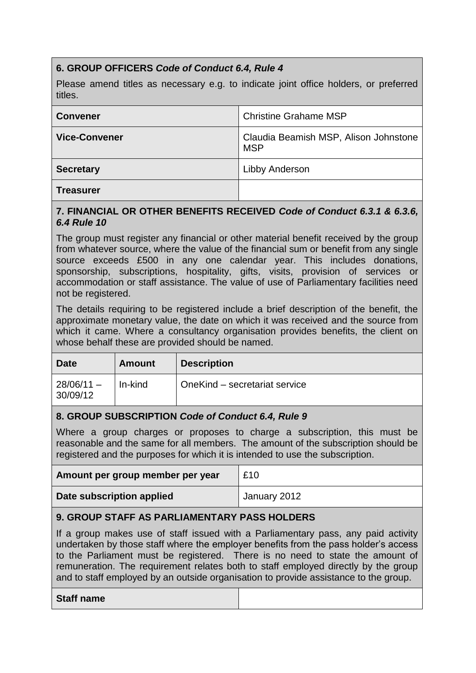# **6. GROUP OFFICERS** *Code of Conduct 6.4, Rule 4*

Please amend titles as necessary e.g. to indicate joint office holders, or preferred titles.

| <b>Convener</b>      | <b>Christine Grahame MSP</b>                        |
|----------------------|-----------------------------------------------------|
| <b>Vice-Convener</b> | Claudia Beamish MSP, Alison Johnstone<br><b>MSP</b> |
| <b>Secretary</b>     | Libby Anderson                                      |
| <b>Treasurer</b>     |                                                     |

#### **7. FINANCIAL OR OTHER BENEFITS RECEIVED** *Code of Conduct 6.3.1 & 6.3.6, 6.4 Rule 10*

The group must register any financial or other material benefit received by the group from whatever source, where the value of the financial sum or benefit from any single source exceeds £500 in any one calendar year. This includes donations, sponsorship, subscriptions, hospitality, gifts, visits, provision of services or accommodation or staff assistance. The value of use of Parliamentary facilities need not be registered.

The details requiring to be registered include a brief description of the benefit, the approximate monetary value, the date on which it was received and the source from which it came. Where a consultancy organisation provides benefits, the client on whose behalf these are provided should be named.

| <b>Date</b>              | Amount  | <b>Description</b>            |
|--------------------------|---------|-------------------------------|
| $28/06/11 -$<br>30/09/12 | In-kind | OneKind - secretariat service |

# **8. GROUP SUBSCRIPTION** *Code of Conduct 6.4, Rule 9*

Where a group charges or proposes to charge a subscription, this must be reasonable and the same for all members. The amount of the subscription should be registered and the purposes for which it is intended to use the subscription.

| Amount per group member per year | £10          |
|----------------------------------|--------------|
| Date subscription applied        | January 2012 |

# **9. GROUP STAFF AS PARLIAMENTARY PASS HOLDERS**

If a group makes use of staff issued with a Parliamentary pass, any paid activity undertaken by those staff where the employer benefits from the pass holder's access to the Parliament must be registered. There is no need to state the amount of remuneration. The requirement relates both to staff employed directly by the group and to staff employed by an outside organisation to provide assistance to the group.

#### **Staff name**